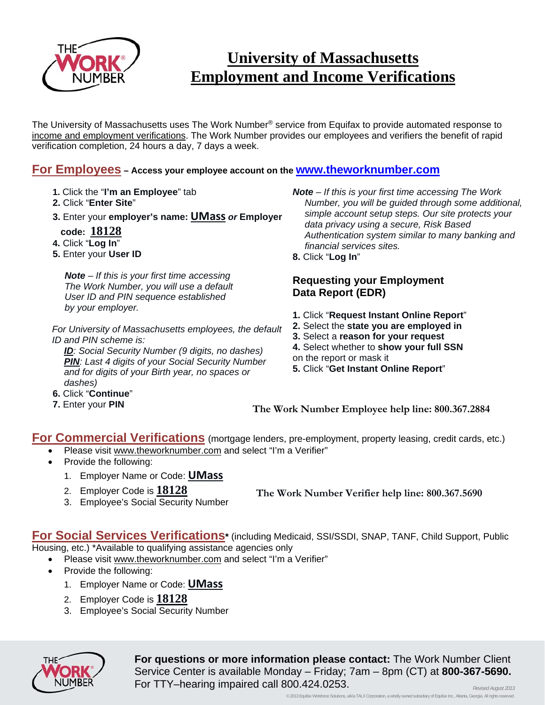

## **University of Massachusetts Employment and Income Verifications**

The University of Massachusetts uses The Work Number® service from Equifax to provide automated response to income and employment verifications. The Work Number provides our employees and verifiers the benefit of rapid verification completion, 24 hours a day, 7 days a week.

## **For Employees – Access your employee account on the www.theworknumber.com**

- **1.** Click the "**I'm an Employee**" tab
- **2.** Click "**Enter Site**"
- **3.** Enter your **employer's name: UMass** *or* **Employer**
- **code: 18128**
- **4.** Click "**Log In**"
- **5.** Enter your **User ID**

*Note – If this is your first time accessing The Work Number, you will use a default User ID and PIN sequence established by your employer.*

*For University of Massachusetts employees, the default ID and PIN scheme is:* 

*ID: Social Security Number (9 digits, no dashes) PIN: Last 4 digits of your Social Security Number and for digits of your Birth year, no spaces or dashes)*

- **6.** Click "**Continue**"
- **7.** Enter your **PIN**

*Note – If this is your first time accessing The Work Number, you will be guided through some additional, simple account setup steps. Our site protects your data privacy using a secure, Risk Based Authentication system similar to many banking and financial services sites.* 

**8.** Click "**Log In**"

## **Requesting your Employment Data Report (EDR)**

- **1.** Click "**Request Instant Online Report**"
- **2.** Select the **state you are employed in**
- **3.** Select a **reason for your request**
- **4.** Select whether to **show your full SSN**
- on the report or mask it
- **5.** Click "**Get Instant Online Report**"

**The Work Number Employee help line: 800.367.2884**

**For Commercial Verifications** (mortgage lenders, pre-employment, property leasing, credit cards, etc.)

- Please visit www.theworknumber.com and select "I'm a Verifier"
	- Provide the following:
		- 1. Employer Name or Code: **UMass**
		- 2. Employer Code is **18128**

**The Work Number Verifier help line: 800.367.5690**

3. Employee's Social Security Number

**For Social Services Verifications\*** (including Medicaid, SSI/SSDI, SNAP, TANF, Child Support, Public Housing, etc.) \*Available to qualifying assistance agencies only

- Please visit www.theworknumber.com and select "I'm a Verifier"
- Provide the following:
	- 1. Employer Name or Code: **UMass**
	- 2. Employer Code is **18128**
	- 3. Employee's Social Security Number



**For questions or more information please contact:** The Work Number Client Service Center is available Monday – Friday; 7am – 8pm (CT) at **800-367-5690.**  For TTY–hearing impaired call 800.424.0253. *Revised August 2013*